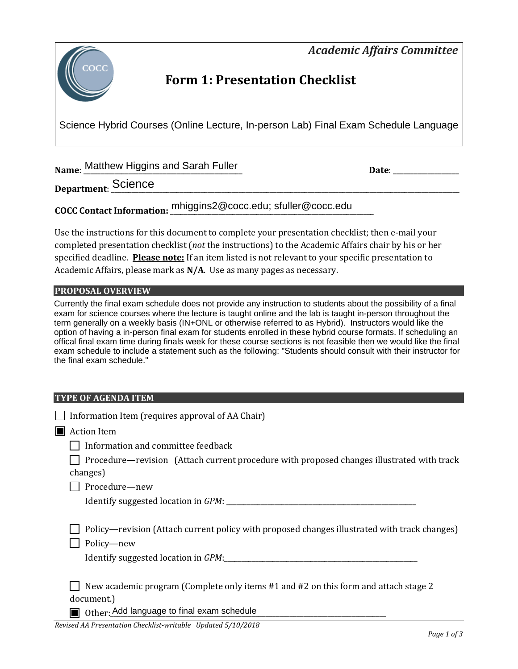*Academic Affairs Committee* 



# **Form 1: Presentation Checklist**

Science Hybrid Courses (Online Lecture, In-person Lab) Final Exam Schedule Language

**Name**: <u>Matthew Higgins and Sarah Fuller and Sarah and Sarah Fuller and Sarah Bate: \_\_\_\_\_\_\_\_\_\_\_\_\_\_</u>

**Department**: \_\_\_\_\_\_\_\_\_\_\_\_\_\_\_\_\_\_\_\_\_\_\_\_\_\_\_\_\_\_\_\_\_\_\_\_\_\_\_\_\_\_\_\_\_\_\_\_\_\_\_\_\_\_\_\_\_\_\_\_\_\_\_\_\_\_\_\_\_\_\_\_\_\_\_\_\_\_\_\_\_\_\_\_\_\_\_\_\_\_\_\_\_\_\_\_\_\_\_\_\_ Science

**COCC Contact Information:** \_\_\_\_\_\_\_\_\_\_\_\_\_\_\_\_\_\_\_\_\_\_\_\_\_\_\_\_\_\_\_\_\_\_\_\_\_\_\_\_\_\_\_\_\_\_\_\_\_\_\_\_\_\_\_\_\_\_\_ mhiggins2@cocc.edu; sfuller@cocc.edu

Use the instructions for this document to complete your presentation checklist; then e-mail your completed presentation checklist (*not* the instructions) to the Academic Affairs chair by his or her specified deadline. **Please note:** If an item listed is not relevant to your specific presentation to Academic Affairs, please mark as **N/A**. Use as many pages as necessary.

### **PROPOSAL OVERVIEW**

Currently the final exam schedule does not provide any instruction to students about the possibility of a final exam for science courses where the lecture is taught online and the lab is taught in-person throughout the term generally on a weekly basis (IN+ONL or otherwise referred to as Hybrid). Instructors would like the option of having a in-person final exam for students enrolled in these hybrid course formats. If scheduling an offical final exam time during finals week for these course sections is not feasible then we would like the final exam schedule to include a statement such as the following: "Students should consult with their instructor for the final exam schedule."

#### **TYPE OF AGENDA ITEM**

| Information Item (requires approval of AA Chair)                                                      |
|-------------------------------------------------------------------------------------------------------|
| <b>Action Item</b>                                                                                    |
| Information and committee feedback                                                                    |
| Procedure—revision (Attach current procedure with proposed changes illustrated with track<br>changes) |
| Procedure-new                                                                                         |
|                                                                                                       |
|                                                                                                       |
| Policy—revision (Attach current policy with proposed changes illustrated with track changes)          |
| Policy-new                                                                                            |
| Identify suggested location in GPM:                                                                   |
|                                                                                                       |
| New academic program (Complete only items #1 and #2 on this form and attach stage 2                   |
| document.)                                                                                            |
| Other: Add language to final exam schedule                                                            |

*Revised AA Presentation Checklist-writable Updated 5/10/2018*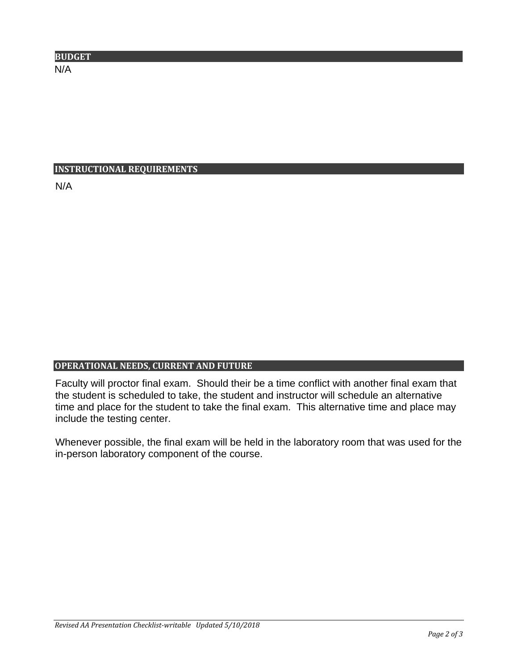| <b>BUDGET</b> |  |
|---------------|--|
| N/A           |  |

# **INSTRUCTIONAL REQUIREMENTS**

N/A

# **OPERATIONAL NEEDS, CURRENT AND FUTURE**

Faculty will proctor final exam. Should their be a time conflict with another final exam that the student is scheduled to take, the student and instructor will schedule an alternative time and place for the student to take the final exam. This alternative time and place may include the testing center.

Whenever possible, the final exam will be held in the laboratory room that was used for the in-person laboratory component of the course.